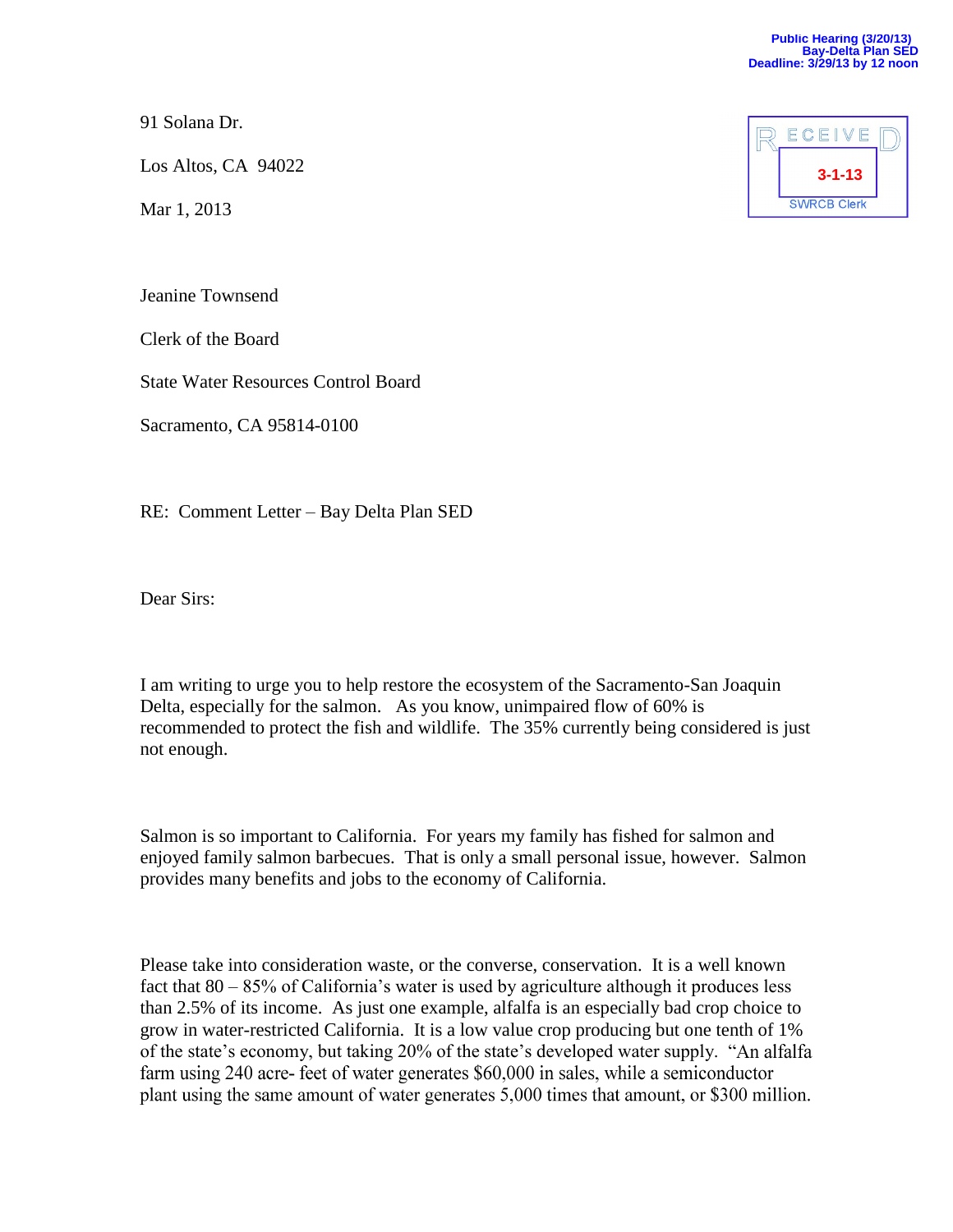91 Solana Dr.

Los Altos, CA 94022

Mar 1, 2013

Jeanine Townsend

Clerk of the Board

State Water Resources Control Board

Sacramento, CA 95814-0100

RE: Comment Letter – Bay Delta Plan SED

Dear Sirs:

I am writing to urge you to help restore the ecosystem of the Sacramento-San Joaquin Delta, especially for the salmon. As you know, unimpaired flow of 60% is recommended to protect the fish and wildlife. The 35% currently being considered is just not enough.

Salmon is so important to California. For years my family has fished for salmon and enjoyed family salmon barbecues. That is only a small personal issue, however. Salmon provides many benefits and jobs to the economy of California.

Please take into consideration waste, or the converse, conservation. It is a well known fact that 80 – 85% of California's water is used by agriculture although it produces less than 2.5% of its income. As just one example, alfalfa is an especially bad crop choice to grow in water-restricted California. It is a low value crop producing but one tenth of 1% of the state's economy, but taking 20% of the state's developed water supply. " farm using 240 acre-feet of water generates \$60,000 in sales, while a semiconductor plant using the same amount of water generates 5,000 times that amount, or \$300 million.